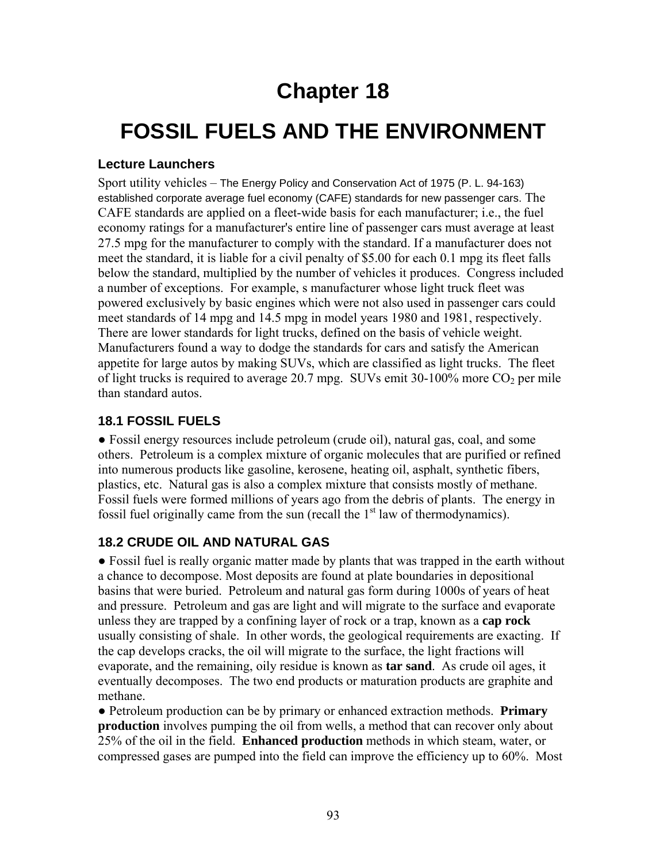## **Chapter 18**

# **FOSSIL FUELS AND THE ENVIRONMENT**

#### **Lecture Launchers**

Sport utility vehicles – The Energy Policy and Conservation Act of 1975 (P. L. 94-163) established corporate average fuel economy (CAFE) standards for new passenger cars. The CAFE standards are applied on a fleet-wide basis for each manufacturer; i.e., the fuel economy ratings for a manufacturer's entire line of passenger cars must average at least 27.5 mpg for the manufacturer to comply with the standard. If a manufacturer does not meet the standard, it is liable for a civil penalty of \$5.00 for each 0.1 mpg its fleet falls below the standard, multiplied by the number of vehicles it produces. Congress included a number of exceptions. For example, s manufacturer whose light truck fleet was powered exclusively by basic engines which were not also used in passenger cars could meet standards of 14 mpg and 14.5 mpg in model years 1980 and 1981, respectively. There are lower standards for light trucks, defined on the basis of vehicle weight. Manufacturers found a way to dodge the standards for cars and satisfy the American appetite for large autos by making SUVs, which are classified as light trucks. The fleet of light trucks is required to average 20.7 mpg. SUVs emit 30-100% more  $CO<sub>2</sub>$  per mile than standard autos.

#### **18.1 FOSSIL FUELS**

● Fossil energy resources include petroleum (crude oil), natural gas, coal, and some others. Petroleum is a complex mixture of organic molecules that are purified or refined into numerous products like gasoline, kerosene, heating oil, asphalt, synthetic fibers, plastics, etc. Natural gas is also a complex mixture that consists mostly of methane. Fossil fuels were formed millions of years ago from the debris of plants. The energy in fossil fuel originally came from the sun (recall the  $1<sup>st</sup>$  law of thermodynamics).

#### **18.2 CRUDE OIL AND NATURAL GAS**

• Fossil fuel is really organic matter made by plants that was trapped in the earth without a chance to decompose. Most deposits are found at plate boundaries in depositional basins that were buried. Petroleum and natural gas form during 1000s of years of heat and pressure. Petroleum and gas are light and will migrate to the surface and evaporate unless they are trapped by a confining layer of rock or a trap, known as a **cap rock** usually consisting of shale. In other words, the geological requirements are exacting. If the cap develops cracks, the oil will migrate to the surface, the light fractions will evaporate, and the remaining, oily residue is known as **tar sand**. As crude oil ages, it eventually decomposes. The two end products or maturation products are graphite and methane.

● Petroleum production can be by primary or enhanced extraction methods. **Primary production** involves pumping the oil from wells, a method that can recover only about 25% of the oil in the field. **Enhanced production** methods in which steam, water, or compressed gases are pumped into the field can improve the efficiency up to 60%. Most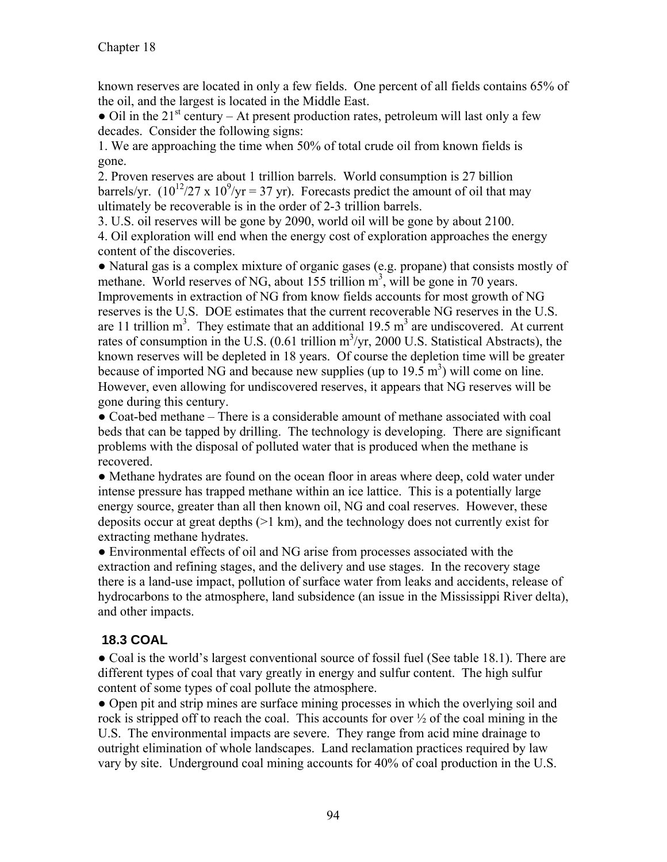known reserves are located in only a few fields. One percent of all fields contains 65% of the oil, and the largest is located in the Middle East.

• Oil in the  $21<sup>st</sup>$  century – At present production rates, petroleum will last only a few decades. Consider the following signs:

1. We are approaching the time when 50% of total crude oil from known fields is gone.

2. Proven reserves are about 1 trillion barrels. World consumption is 27 billion barrels/yr.  $(10^{12}/27 \times 10^9)/y = 37$  yr). Forecasts predict the amount of oil that may ultimately be recoverable is in the order of 2-3 trillion barrels.

3. U.S. oil reserves will be gone by 2090, world oil will be gone by about 2100. 4. Oil exploration will end when the energy cost of exploration approaches the energy content of the discoveries.

● Natural gas is a complex mixture of organic gases (e.g. propane) that consists mostly of methane. World reserves of NG, about  $155$  trillion  $m<sup>3</sup>$ , will be gone in 70 years. Improvements in extraction of NG from know fields accounts for most growth of NG reserves is the U.S. DOE estimates that the current recoverable NG reserves in the U.S. are 11 trillion  $m^3$ . They estimate that an additional 19.5  $m^3$  are undiscovered. At current rates of consumption in the U.S.  $(0.61 \text{ trillion m}^3/\text{yr}, 2000 \text{ U.S. Statistical Abstracts})$ , the known reserves will be depleted in 18 years. Of course the depletion time will be greater because of imported NG and because new supplies (up to  $19.5 \text{ m}^3$ ) will come on line. However, even allowing for undiscovered reserves, it appears that NG reserves will be gone during this century.

● Coat-bed methane – There is a considerable amount of methane associated with coal beds that can be tapped by drilling. The technology is developing. There are significant problems with the disposal of polluted water that is produced when the methane is recovered.

● Methane hydrates are found on the ocean floor in areas where deep, cold water under intense pressure has trapped methane within an ice lattice. This is a potentially large energy source, greater than all then known oil, NG and coal reserves. However, these deposits occur at great depths (>1 km), and the technology does not currently exist for extracting methane hydrates.

● Environmental effects of oil and NG arise from processes associated with the extraction and refining stages, and the delivery and use stages. In the recovery stage there is a land-use impact, pollution of surface water from leaks and accidents, release of hydrocarbons to the atmosphere, land subsidence (an issue in the Mississippi River delta), and other impacts.

## **18.3 COAL**

● Coal is the world's largest conventional source of fossil fuel (See table 18.1). There are different types of coal that vary greatly in energy and sulfur content. The high sulfur content of some types of coal pollute the atmosphere.

• Open pit and strip mines are surface mining processes in which the overlying soil and rock is stripped off to reach the coal. This accounts for over ½ of the coal mining in the U.S. The environmental impacts are severe. They range from acid mine drainage to outright elimination of whole landscapes. Land reclamation practices required by law vary by site. Underground coal mining accounts for 40% of coal production in the U.S.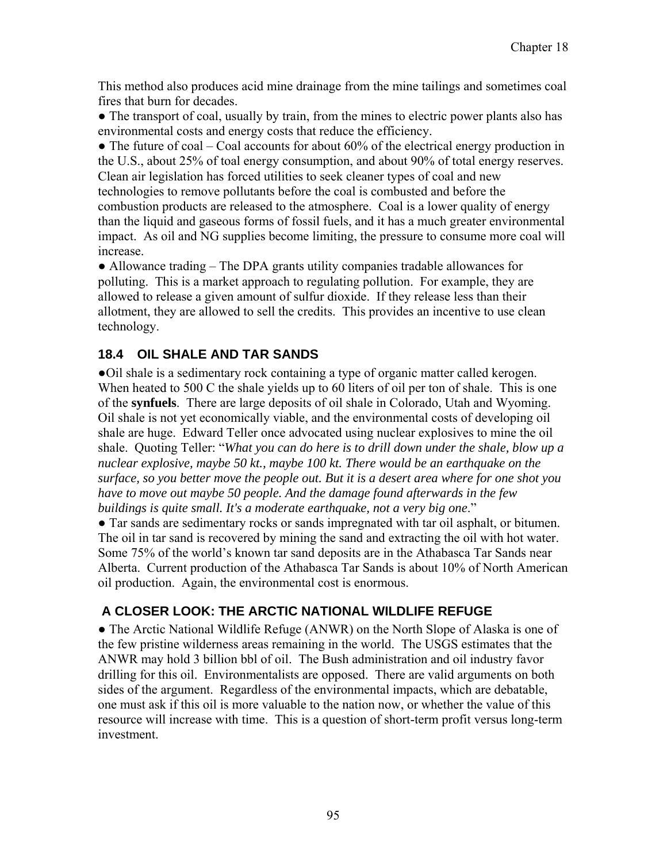This method also produces acid mine drainage from the mine tailings and sometimes coal fires that burn for decades.

• The transport of coal, usually by train, from the mines to electric power plants also has environmental costs and energy costs that reduce the efficiency.

• The future of coal – Coal accounts for about 60% of the electrical energy production in the U.S., about 25% of toal energy consumption, and about 90% of total energy reserves. Clean air legislation has forced utilities to seek cleaner types of coal and new technologies to remove pollutants before the coal is combusted and before the combustion products are released to the atmosphere. Coal is a lower quality of energy than the liquid and gaseous forms of fossil fuels, and it has a much greater environmental impact. As oil and NG supplies become limiting, the pressure to consume more coal will increase.

● Allowance trading – The DPA grants utility companies tradable allowances for polluting. This is a market approach to regulating pollution. For example, they are allowed to release a given amount of sulfur dioxide. If they release less than their allotment, they are allowed to sell the credits. This provides an incentive to use clean technology.

## **18.4 OIL SHALE AND TAR SANDS**

●Oil shale is a sedimentary rock containing a type of organic matter called kerogen. When heated to 500 C the shale yields up to 60 liters of oil per ton of shale. This is one of the **synfuels**. There are large deposits of oil shale in Colorado, Utah and Wyoming. Oil shale is not yet economically viable, and the environmental costs of developing oil shale are huge. Edward Teller once advocated using nuclear explosives to mine the oil shale. Quoting Teller: "*What you can do here is to drill down under the shale, blow up a nuclear explosive, maybe 50 kt., maybe 100 kt. There would be an earthquake on the surface, so you better move the people out. But it is a desert area where for one shot you have to move out maybe 50 people. And the damage found afterwards in the few buildings is quite small. It's a moderate earthquake, not a very big one*."

● Tar sands are sedimentary rocks or sands impregnated with tar oil asphalt, or bitumen. The oil in tar sand is recovered by mining the sand and extracting the oil with hot water. Some 75% of the world's known tar sand deposits are in the Athabasca Tar Sands near Alberta. Current production of the Athabasca Tar Sands is about 10% of North American oil production. Again, the environmental cost is enormous.

## **A CLOSER LOOK: THE ARCTIC NATIONAL WILDLIFE REFUGE**

● The Arctic National Wildlife Refuge (ANWR) on the North Slope of Alaska is one of the few pristine wilderness areas remaining in the world. The USGS estimates that the ANWR may hold 3 billion bbl of oil. The Bush administration and oil industry favor drilling for this oil. Environmentalists are opposed. There are valid arguments on both sides of the argument. Regardless of the environmental impacts, which are debatable, one must ask if this oil is more valuable to the nation now, or whether the value of this resource will increase with time. This is a question of short-term profit versus long-term investment.